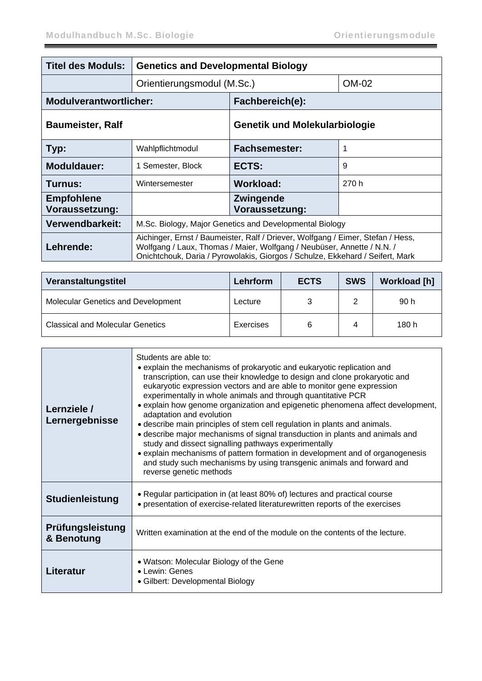| <b>Titel des Moduls:</b>                   | <b>Genetics and Developmental Biology</b>                                                                                                                                                                                                  |                                      |       |  |
|--------------------------------------------|--------------------------------------------------------------------------------------------------------------------------------------------------------------------------------------------------------------------------------------------|--------------------------------------|-------|--|
|                                            | Orientierungsmodul (M.Sc.)                                                                                                                                                                                                                 |                                      | OM-02 |  |
| <b>Modulverantwortlicher:</b>              |                                                                                                                                                                                                                                            | Fachbereich(e):                      |       |  |
| <b>Baumeister, Ralf</b>                    |                                                                                                                                                                                                                                            | <b>Genetik und Molekularbiologie</b> |       |  |
| Typ:                                       | Wahlpflichtmodul                                                                                                                                                                                                                           | <b>Fachsemester:</b>                 | 1     |  |
| Moduldauer:                                | 1 Semester, Block                                                                                                                                                                                                                          | ECTS:                                | 9     |  |
| Turnus:                                    | Wintersemester                                                                                                                                                                                                                             | Workload:                            | 270 h |  |
| <b>Empfohlene</b><br><b>Voraussetzung:</b> |                                                                                                                                                                                                                                            | <b>Zwingende</b><br>Voraussetzung:   |       |  |
| Verwendbarkeit:                            | M.Sc. Biology, Major Genetics and Developmental Biology                                                                                                                                                                                    |                                      |       |  |
| Lehrende:                                  | Aichinger, Ernst / Baumeister, Ralf / Driever, Wolfgang / Eimer, Stefan / Hess,<br>Wolfgang / Laux, Thomas / Maier, Wolfgang / Neubüser, Annette / N.N. /<br>Onichtchouk, Daria / Pyrowolakis, Giorgos / Schulze, Ekkehard / Seifert, Mark |                                      |       |  |

| Veranstaltungstitel                       | Lehrform  | <b>ECTS</b> | <b>SWS</b> | <b>Workload [h]</b> |
|-------------------------------------------|-----------|-------------|------------|---------------------|
| <b>Molecular Genetics and Development</b> | Lecture   | 3           | ◠          | 90 h                |
| <b>Classical and Molecular Genetics</b>   | Exercises | 6           |            | 180 h               |

| Lernziele /<br>Lernergebnisse  | Students are able to:<br>• explain the mechanisms of prokaryotic and eukaryotic replication and<br>transcription, can use their knowledge to design and clone prokaryotic and<br>eukaryotic expression vectors and are able to monitor gene expression<br>experimentally in whole animals and through quantitative PCR<br>• explain how genome organization and epigenetic phenomena affect development,<br>adaptation and evolution<br>• describe main principles of stem cell regulation in plants and animals.<br>• describe major mechanisms of signal transduction in plants and animals and<br>study and dissect signalling pathways experimentally<br>• explain mechanisms of pattern formation in development and of organogenesis<br>and study such mechanisms by using transgenic animals and forward and<br>reverse genetic methods |
|--------------------------------|------------------------------------------------------------------------------------------------------------------------------------------------------------------------------------------------------------------------------------------------------------------------------------------------------------------------------------------------------------------------------------------------------------------------------------------------------------------------------------------------------------------------------------------------------------------------------------------------------------------------------------------------------------------------------------------------------------------------------------------------------------------------------------------------------------------------------------------------|
| <b>Studienleistung</b>         | • Regular participation in (at least 80% of) lectures and practical course<br>• presentation of exercise-related literaturewritten reports of the exercises                                                                                                                                                                                                                                                                                                                                                                                                                                                                                                                                                                                                                                                                                    |
| Prüfungsleistung<br>& Benotung | Written examination at the end of the module on the contents of the lecture.                                                                                                                                                                                                                                                                                                                                                                                                                                                                                                                                                                                                                                                                                                                                                                   |
| Literatur                      | • Watson: Molecular Biology of the Gene<br>$\bullet$ Lewin: Genes<br>• Gilbert: Developmental Biology                                                                                                                                                                                                                                                                                                                                                                                                                                                                                                                                                                                                                                                                                                                                          |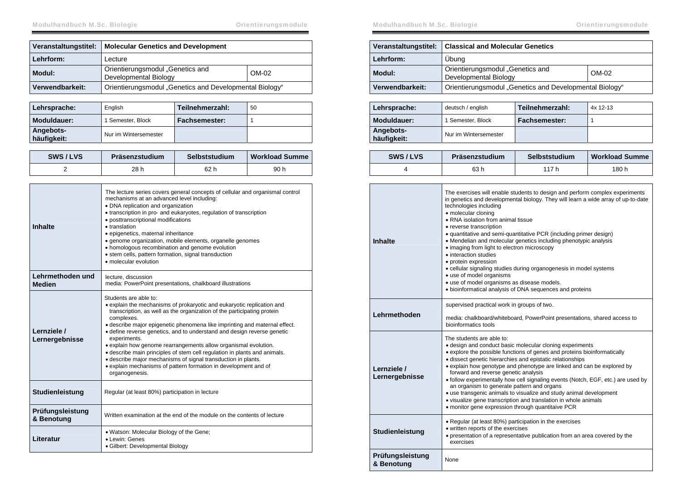| Veranstaltungstitel: | <b>Molecular Genetics and Development</b>                 |       |
|----------------------|-----------------------------------------------------------|-------|
| Lehrform:            | Lecture                                                   |       |
| Modul:               | Orientierungsmodul "Genetics and<br>Developmental Biology | OM-02 |
| Verwendbarkeit:      | Orientierungsmodul "Genetics and Developmental Biology"   |       |

| Lehrsprache:             | English               | Teilnehmerzahl: | 50 |
|--------------------------|-----------------------|-----------------|----|
| Moduldauer:              | 1 Semester, Block     | Fachsemester:   |    |
| Angebots-<br>häufigkeit: | Nur im Wintersemester |                 |    |

| SWS/LVS | Präsenzstudium | Selbststudium | <b>Workload Summe</b> |
|---------|----------------|---------------|-----------------------|
|         | 28 h           | 62 h          | 90 h                  |

| <b>Inhalte</b>                    | The lecture series covers general concepts of cellular and organismal control<br>mechanisms at an advanced level including:<br>• DNA replication and organization<br>• transcription in pro- and eukaryotes, regulation of transcription<br>· posttranscriptional modifications<br>• translation<br>· epigenetics, maternal inheritance<br>• genome organization, mobile elements, organelle genomes<br>• homologous recombination and genome evolution<br>• stem cells, pattern formation, signal transduction<br>• molecular evolution                                                                                                                                |
|-----------------------------------|-------------------------------------------------------------------------------------------------------------------------------------------------------------------------------------------------------------------------------------------------------------------------------------------------------------------------------------------------------------------------------------------------------------------------------------------------------------------------------------------------------------------------------------------------------------------------------------------------------------------------------------------------------------------------|
| Lehrmethoden und<br><b>Medien</b> | lecture, discussion<br>media: PowerPoint presentations, chalkboard illustrations                                                                                                                                                                                                                                                                                                                                                                                                                                                                                                                                                                                        |
| Lernziele /<br>Lernergebnisse     | Students are able to:<br>· explain the mechanisms of prokaryotic and eukaryotic replication and<br>transcription, as well as the organization of the participating protein<br>complexes.<br>· describe major epigenetic phenomena like imprinting and maternal effect.<br>• define reverse genetics, and to understand and design reverse genetic<br>experiments.<br>• explain how genome rearrangements allow organismal evolution.<br>• describe main principles of stem cell regulation in plants and animals.<br>· describe major mechanisms of signal transduction in plants.<br>• explain mechanisms of pattern formation in development and of<br>organogenesis. |
| Studienleistung                   | Regular (at least 80%) participation in lecture                                                                                                                                                                                                                                                                                                                                                                                                                                                                                                                                                                                                                         |
| Prüfungsleistung<br>& Benotung    | Written examination at the end of the module on the contents of lecture                                                                                                                                                                                                                                                                                                                                                                                                                                                                                                                                                                                                 |
| Literatur                         | . Watson: Molecular Biology of the Gene;<br>• Lewin: Genes<br>• Gilbert: Developmental Biology                                                                                                                                                                                                                                                                                                                                                                                                                                                                                                                                                                          |

| Veranstaltungstitel: | <b>Classical and Molecular Genetics</b>                   |         |
|----------------------|-----------------------------------------------------------|---------|
| Lehrform:            | Ubung                                                     |         |
| Modul:               | Orientierungsmodul "Genetics and<br>Developmental Biology | $OM-02$ |
| Verwendbarkeit:      | Orientierungsmodul "Genetics and Developmental Biology"   |         |

| Lehrsprache:             | deutsch / english     | Teilnehmerzahl: | $4x$ 12-13 |
|--------------------------|-----------------------|-----------------|------------|
| Moduldauer:              | 1 Semester, Block     | Fachsemester:   |            |
| Angebots-<br>häufigkeit: | Nur im Wintersemester |                 |            |

| SWS/LVS | Präsenzstudium | Selbststudium | <b>Workload Summe</b> |
|---------|----------------|---------------|-----------------------|
|         | 63 h           | 117 h         | 180 h                 |

| <b>Inhalte</b>                 | The exercises will enable students to design and perform complex experiments<br>in genetics and developmental biology. They will learn a wide array of up-to-date<br>technologies including<br>• molecular cloning<br>• RNA isolation from animal tissue<br>• reverse transcription<br>• quantitative and semi-quantitative PCR (including primer design)<br>• Mendelian and molecular genetics including phenotypic analysis<br>• imaging from light to electron microscopy<br>• interaction studies<br>· protein expression<br>• cellular signaling studies during organogenesis in model systems<br>• use of model organisms<br>• use of model organisms as disease models.<br>· bioinformatical analysis of DNA sequences and proteins |
|--------------------------------|--------------------------------------------------------------------------------------------------------------------------------------------------------------------------------------------------------------------------------------------------------------------------------------------------------------------------------------------------------------------------------------------------------------------------------------------------------------------------------------------------------------------------------------------------------------------------------------------------------------------------------------------------------------------------------------------------------------------------------------------|
| Lehrmethoden                   | supervised practical work in groups of two.<br>media: chalkboard/whiteboard, PowerPoint presentations, shared access to<br>bioinformatics tools                                                                                                                                                                                                                                                                                                                                                                                                                                                                                                                                                                                            |
| Lernziele /<br>Lernergebnisse  | The students are able to:<br>• design and conduct basic molecular cloning experiments<br>• explore the possible functions of genes and proteins bioinformatically<br>· dissect genetic hierarchies and epistatic relationships<br>• explain how genotype and phenotype are linked and can be explored by<br>forward and reverse genetic analysis<br>• follow experimentally how cell signaling events (Notch, EGF, etc.) are used by<br>an organism to generate pattern and organs<br>• use transgenic animals to visualize and study animal development<br>• visualize gene transcription and translation in whole animals<br>• monitor gene expression through quantitaive PCR                                                           |
| Studienleistung                | • Regular (at least 80%) participation in the exercises<br>• written reports of the exercises<br>• presentation of a representative publication from an area covered by the<br>exercises                                                                                                                                                                                                                                                                                                                                                                                                                                                                                                                                                   |
| Prüfungsleistung<br>& Benotung | None                                                                                                                                                                                                                                                                                                                                                                                                                                                                                                                                                                                                                                                                                                                                       |